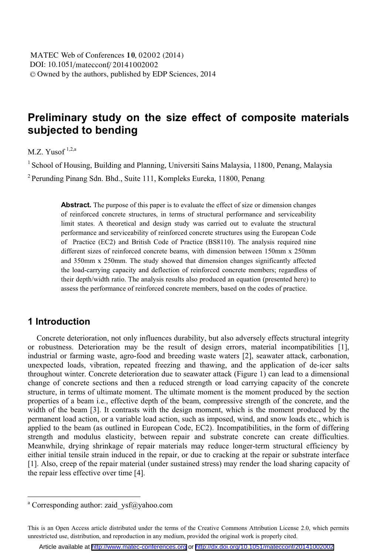# **Preliminary study on the size effect of composite materials subjected to bending**

 $M.Z.$  Yusof<sup>1,2,a</sup>

<sup>1</sup> School of Housing, Building and Planning, Universiti Sains Malaysia, 11800, Penang, Malaysia

 $2$  Perunding Pinang Sdn. Bhd., Suite 111, Kompleks Eureka, 11800, Penang

Abstract. The purpose of this paper is to evaluate the effect of size or dimension changes of reinforced concrete structures, in terms of structural performance and serviceability limit states. A theoretical and design study was carried out to evaluate the structural performance and serviceability of reinforced concrete structures using the European Code of Practice (EC2) and British Code of Practice (BS8110). The analysis required nine different sizes of reinforced concrete beams, with dimension between 150mm x 250mm and 350mm x 250mm. The study showed that dimension changes significantly affected the load-carrying capacity and deflection of reinforced concrete members; regardless of their depth/width ratio. The analysis results also produced an equation (presented here) to assess the performance of reinforced concrete members, based on the codes of practice.

### **1 Introduction**

Concrete deterioration, not only influences durability, but also adversely effects structural integrity or robustness. Deterioration may be the result of design errors, material incompatibilities [1], industrial or farming waste, agro-food and breeding waste waters [2], seawater attack, carbonation, unexpected loads, vibration, repeated freezing and thawing, and the application of de-icer salts throughout winter. Concrete deterioration due to seawater attack (Figure 1) can lead to a dimensional change of concrete sections and then a reduced strength or load carrying capacity of the concrete structure, in terms of ultimate moment. The ultimate moment is the moment produced by the section properties of a beam i.e., effective depth of the beam, compressive strength of the concrete, and the width of the beam [3]. It contrasts with the design moment, which is the moment produced by the permanent load action, or a variable load action, such as imposed, wind, and snow loads etc., which is applied to the beam (as outlined in European Code, EC2). Incompatibilities, in the form of differing strength and modulus elasticity, between repair and substrate concrete can create difficulties. Meanwhile, drying shrinkage of repair materials may reduce longer-term structural efficiency by either initial tensile strain induced in the repair, or due to cracking at the repair or substrate interface [1]. Also, creep of the repair material (under sustained stress) may render the load sharing capacity of the repair less effective over time [4].

<sup>&</sup>lt;sup>a</sup> Corresponding author: zaid\_ysf@yahoo.com

This is an Open Access article distributed under the terms of the Creative Commons Attribution License 2.0, which permits unrestricted use, distribution, and reproduction in any medium, provided the original work is properly cited.

Article available at <http://www.matec-conferences.org> or <http://dx.doi.org/10.1051/matecconf/20141002002>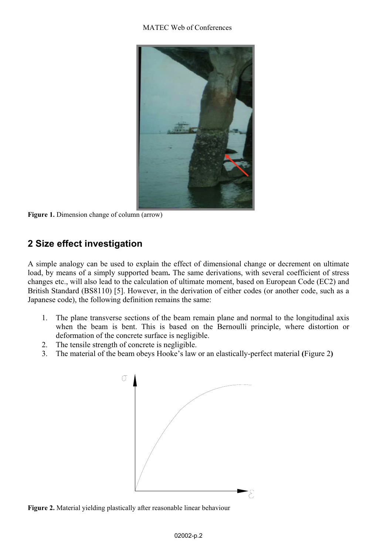#### MATEC Web of Conferences



**Figure 1.** Dimension change of column (arrow)

# **2 Size effect investigation**

A simple analogy can be used to explain the effect of dimensional change or decrement on ultimate load, by means of a simply supported beam**.** The same derivations, with several coefficient of stress changes etc., will also lead to the calculation of ultimate moment, based on European Code (EC2) and British Standard (BS8110) [5]. However, in the derivation of either codes (or another code, such as a Japanese code), the following definition remains the same:

- 1. The plane transverse sections of the beam remain plane and normal to the longitudinal axis when the beam is bent. This is based on the Bernoulli principle, where distortion or deformation of the concrete surface is negligible.
- 2. The tensile strength of concrete is negligible.
- 3. The material of the beam obeys Hooke's law or an elastically-perfect material **(**Figure 2**)**



**Figure 2.** Material yielding plastically after reasonable linear behaviour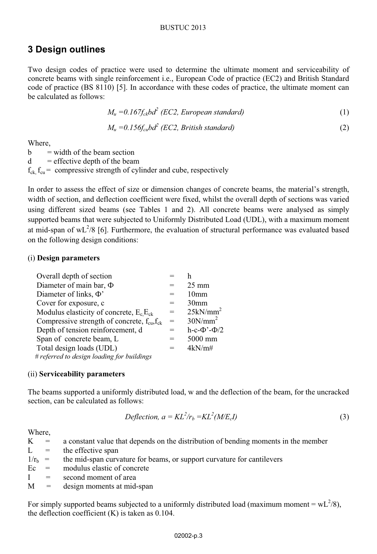#### BUSTUC 2013

## **3 Design outlines**

Two design codes of practice were used to determine the ultimate moment and serviceability of concrete beams with single reinforcement i.e., European Code of practice (EC2) and British Standard code of practice (BS 8110) [5]. In accordance with these codes of practice, the ultimate moment can be calculated as follows:

$$
M_u = 0.167 f_{ck} b d^2 \ (EC2, European standard)
$$
 (1)

$$
M_u = 0.156 f_{cu} b d^2 (EC2, British standard)
$$
 (2)

Where,

 $b = width of the beam section$  $d =$  effective depth of the beam  $f_{ck}$ ,  $f_{cu}$  = compressive strength of cylinder and cube, respectively

In order to assess the effect of size or dimension changes of concrete beams, the material's strength, width of section, and deflection coefficient were fixed, whilst the overall depth of sections was varied using different sized beams (see Tables 1 and 2). All concrete beams were analysed as simply supported beams that were subjected to Uniformly Distributed Load (UDL), with a maximum moment at mid-span of  $wL^2/8$  [6]. Furthermore, the evaluation of structural performance was evaluated based on the following design conditions:

### (i) **Design parameters**

| Overall depth of section                                  |     |                         |
|-----------------------------------------------------------|-----|-------------------------|
| Diameter of main bar, $\Phi$                              | $=$ | $25 \text{ mm}$         |
| Diameter of links, $\Phi'$                                | $=$ | 10 <sub>mm</sub>        |
| Cover for exposure, c                                     | =   | 30 <sub>mm</sub>        |
| Modulus elasticity of concrete, $E_c E_{ck}$              | $=$ | 25kN/mm <sup>2</sup>    |
| Compressive strength of concrete, $f_{\rm cu} f_{\rm ck}$ | $=$ | $30N/mm^2$              |
| Depth of tension reinforcement, d                         | $=$ | h-c- $\Phi$ '- $\Phi/2$ |
| Span of concrete beam, L                                  | $=$ | 5000 mm                 |
| Total design loads (UDL)                                  | $=$ | 4kN/m#                  |
| # referred to design loading for buildings                |     |                         |

### (ii) **Serviceability parameters**

The beams supported a uniformly distributed load, w and the deflection of the beam, for the uncracked section, can be calculated as follows:

$$
Deflection, a = KL^2/r_b = KL^2(M/E_c I)
$$
\n(3)

Where,

 $K = a$  constant value that depends on the distribution of bending moments in the member

 $L =$  the effective span

 $1/r_b$  = the mid-span curvature for beams, or support curvature for cantilevers

 $\text{Ec}$  = modulus elastic of concrete

 $I =$  second moment of area

 $M =$  design moments at mid-span

For simply supported beams subjected to a uniformly distributed load (maximum moment =  $wL^2/8$ ), the deflection coefficient  $(K)$  is taken as 0.104.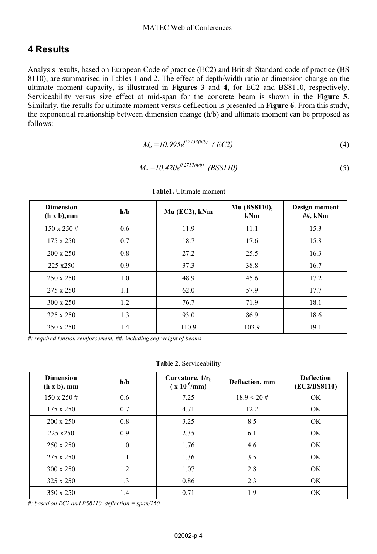### **4 Results**

Analysis results, based on European Code of practice (EC2) and British Standard code of practice (BS 8110), are summarised in Tables 1 and 2. The effect of depth/width ratio or dimension change on the ultimate moment capacity, is illustrated in **Figures 3** and **4,** for EC2 and BS8110, respectively. Serviceability versus size effect at mid-span for the concrete beam is shown in the **Figure 5**. Similarly, the results for ultimate moment versus defLection is presented in **Figure 6**. From this study, the exponential relationship between dimension change (h/b) and ultimate moment can be proposed as follows:

$$
M_u = 10.995e^{0.2733(h/b)} \quad (EC2)
$$
 (4)

$$
M_u = 10.420e^{0.2717(h/b)} \quad (BS8110)
$$
 (5)

| <b>Dimension</b><br>(h x b), mm | h/b | Mu (EC2), kNm | Mu (BS8110),<br>kNm | Design moment<br>##, kNm |
|---------------------------------|-----|---------------|---------------------|--------------------------|
| $150 \times 250#$               | 0.6 | 11.9          | 11.1                | 15.3                     |
| $175 \times 250$                | 0.7 | 18.7          | 17.6                | 15.8                     |
| $200 \times 250$                | 0.8 | 27.2          | 25.5                | 16.3                     |
| 225 x250                        | 0.9 | 37.3          | 38.8                | 16.7                     |
| 250 x 250                       | 1.0 | 48.9          | 45.6                | 17.2                     |
| 275 x 250                       | 1.1 | 62.0          | 57.9                | 17.7                     |
| $300 \times 250$                | 1.2 | 76.7          | 71.9                | 18.1                     |
| 325 x 250                       | 1.3 | 93.0          | 86.9                | 18.6                     |
| 350 x 250                       | 1.4 | 110.9         | 103.9               | 19.1                     |

**Table1.** Ultimate moment

*#: required tension reinforcement, ##: including self weight of beams* 

**Table 2.** Serviceability

| <b>Dimension</b><br>(h x b), mm | h/b | Curvature, $1/rh$<br>$(x 10^{-6}/mm)$ | Deflection, mm | <b>Deflection</b><br>(EC2/BS8110) |
|---------------------------------|-----|---------------------------------------|----------------|-----------------------------------|
| $150 \times 250 \#$             | 0.6 | 7.25                                  | $18.9 < 20 \#$ | OK.                               |
| $175 \times 250$                | 0.7 | 4.71                                  | 12.2           | OK.                               |
| $200 \times 250$                | 0.8 | 3.25                                  | 8.5            | OK.                               |
| 225 x250                        | 0.9 | 2.35                                  | 6.1            | OK.                               |
| $250 \times 250$                | 1.0 | 1.76                                  | 4.6            | OK                                |
| 275 x 250                       | 1.1 | 1.36                                  | 3.5            | OK.                               |
| $300 \times 250$                | 1.2 | 1.07                                  | 2.8            | OK.                               |
| $325 \times 250$                | 1.3 | 0.86                                  | 2.3            | OK.                               |
| 350 x 250                       | 1.4 | 0.71                                  | 1.9            | OK.                               |

*#: based on EC2 and BS8110, deflection = span/250*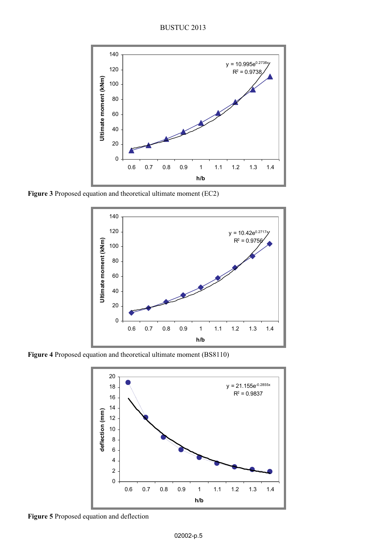BUSTUC 2013



**Figure 3** Proposed equation and theoretical ultimate moment (EC2)



**Figure 4** Proposed equation and theoretical ultimate moment (BS8110)



**Figure 5** Proposed equation and deflection